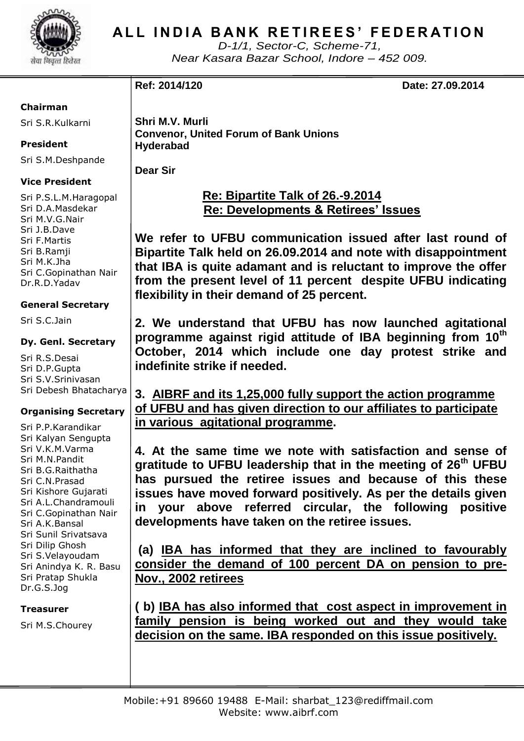

# **ALL INDIA BANK RETIREES' FEDERATION**

*D-1/1, Sector-C, Scheme-71, Near Kasara Bazar School, Indore – 452 009.*

**Ref: 2014/120 Date: 27.09.2014**

#### **Chairman**

Sri S.R.Kulkarni

**President**

Sri S.M.Deshpande

#### **Vice President**

Sri P.S.L.M.Haragopal Sri D.A.Masdekar Sri M.V.G.Nair Sri J.B.Dave Sri F.Martis Sri B.Ramji Sri M.K.Jha Sri C.Gopinathan Nair Dr.R.D.Yadav

#### **General Secretary**

Sri S.C.Jain

#### **Dy. Genl. Secretary**

Sri R.S.Desai Sri D.P.Gupta Sri S.V.Srinivasan Sri Debesh Bhatacharya

### **Organising Secretary**

Sri P.P.Karandikar Sri Kalyan Sengupta Sri V.K.M.Varma Sri M.N.Pandit Sri B.G.Raithatha Sri C.N.Prasad Sri Kishore Gujarati Sri A.L.Chandramouli Sri C.Gopinathan Nair Sri A.K.Bansal Sri Sunil Srivatsava Sri Dilip Ghosh Sri S.Velayoudam Sri Anindya K. R. Basu Sri Pratap Shukla Dr.G.S.Jog

**Treasurer**

Sri M.S.Chourey

**Shri M.V. Murli Convenor, United Forum of Bank Unions Hyderabad**

**Dear Sir**

 **Re: Bipartite Talk of 26.-9.2014 Re: Developments & Retirees' Issues**

**We refer to UFBU communication issued after last round of Bipartite Talk held on 26.09.2014 and note with disappointment that IBA is quite adamant and is reluctant to improve the offer from the present level of 11 percent despite UFBU indicating flexibility in their demand of 25 percent.**

**2. We understand that UFBU has now launched agitational programme against rigid attitude of IBA beginning from 10th October, 2014 which include one day protest strike and indefinite strike if needed.** 

**3. AIBRF and its 1,25,000 fully support the action programme of UFBU and has given direction to our affiliates to participate in various agitational programme.**

**4. At the same time we note with satisfaction and sense of gratitude to UFBU leadership that in the meeting of 26th UFBU has pursued the retiree issues and because of this these issues have moved forward positively. As per the details given in your above referred circular, the following positive developments have taken on the retiree issues.** 

**(a) IBA has informed that they are inclined to favourably consider the demand of 100 percent DA on pension to pre-Nov., 2002 retirees**

**( b) IBA has also informed that cost aspect in improvement in family pension is being worked out and they would take decision on the same. IBA responded on this issue positively.**